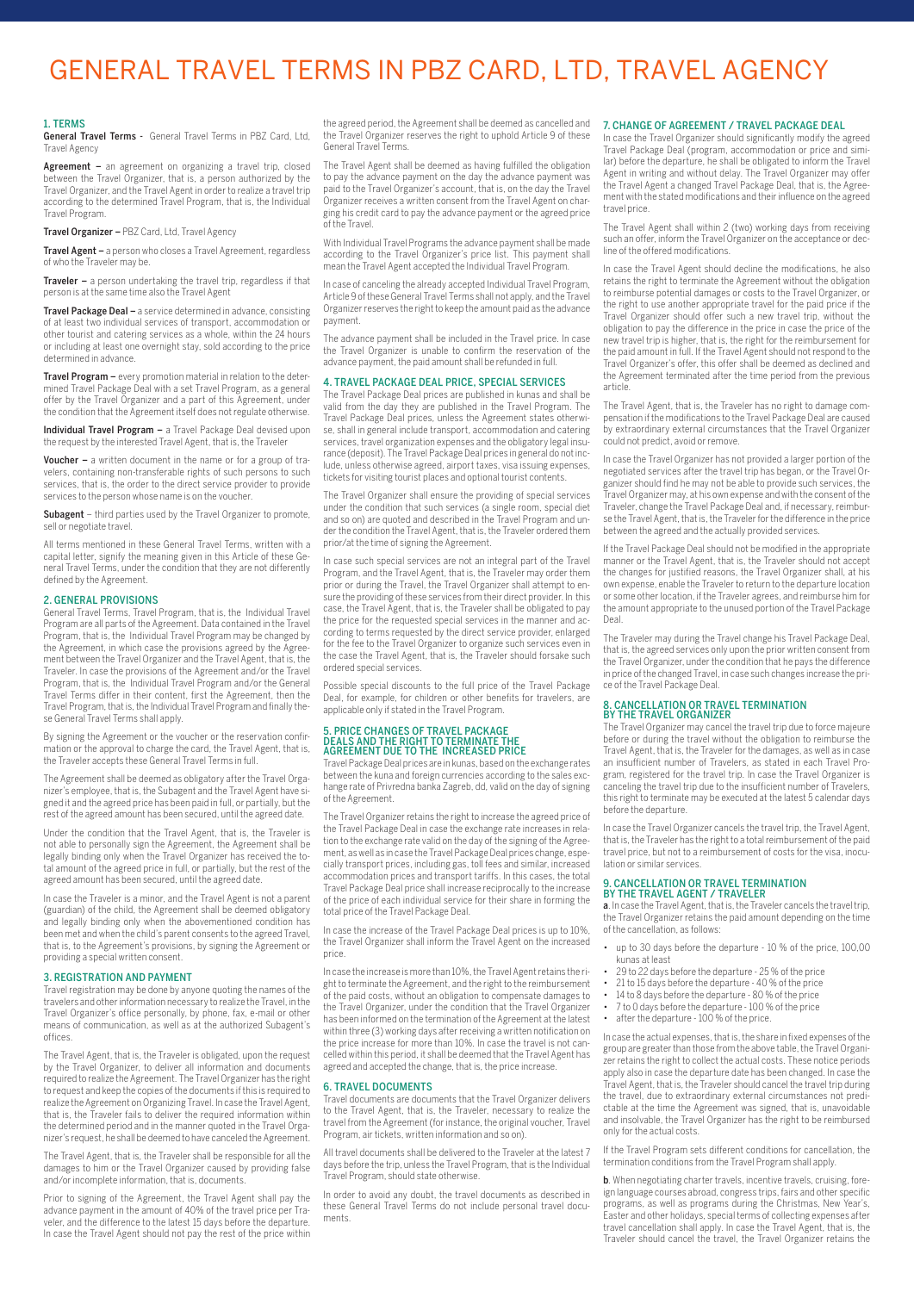# General Travel Terms in PBZ Card, Ltd, Travel Agency

### 1. TERMS

General Travel Terms - General Travel Terms in PBZ Card, Ltd, Travel Agency

Agreement - an agreement on organizing a travel trip, closed between the Travel Organizer, that is, a person authorized by the Travel Organizer, and the Travel Agent in order to realize a travel trip according to the determined Travel Program, that is, the Individual Travel Program.

Travel Organizer – PBZ Card, Ltd, Travel Agency

Travel Agent – a person who closes a Travel Agreement, regardless of who the Traveler may be.

Traveler – a person undertaking the travel trip, regardless if that person is at the same time also the Travel Agent

Travel Package Deal – a service determined in advance, consisting of at least two individual services of transport, accommodation or other tourist and catering services as a whole, within the 24 hours or including at least one overnight stay, sold according to the price determined in advance.

Travel Program – every promotion material in relation to the determined Travel Package Deal with a set Travel Program, as a general offer by the Travel Organizer and a part of this Agreement, under the condition that the Agreement itself does not regulate otherwise.

Individual Travel Program - a Travel Package Deal devised upon the request by the interested Travel Agent, that is, the Traveler

Voucher – a written document in the name or for a group of travelers, containing non-transferable rights of such persons to such services, that is, the order to the direct service provider to provide services to the person whose name is on the voucher.

Subagent – third parties used by the Travel Organizer to promote, sell or negotiate travel.

All terms mentioned in these General Travel Terms, written with a capital letter, signify the meaning given in this Article of these General Travel Terms, under the condition that they are not differently defined by the Agreement.

# 2. GENERAL PROVISIONS

General Travel Terms, Travel Program, that is, the Individual Travel Program are all parts of the Agreement. Data contained in the Travel Program, that is, the Individual Travel Program may be changed by the Agreement, in which case the provisions agreed by the Agreement between the Travel Organizer and the Travel Agent, that is, the Traveler. In case the provisions of the Agreement and/or the Travel Program, that is, the Individual Travel Program and/or the General Travel Terms differ in their content, first the Agreement, then the Travel Program, that is, the Individual Travel Program and finally these General Travel Terms shall apply.

By signing the Agreement or the voucher or the reservation confirmation or the approval to charge the card, the Travel Agent, that is, the Traveler accepts these General Travel Terms in full.

The Agreement shall be deemed as obligatory after the Travel Organizer's employee, that is, the Subagent and the Travel Agent have signed it and the agreed price has been paid in full, or partially, but the rest of the agreed amount has been secured, until the agreed date.

Under the condition that the Travel Agent, that is, the Traveler is not able to personally sign the Agreement, the Agreement shall be legally binding only when the Travel Organizer has received the total amount of the agreed price in full, or partially, but the rest of the agreed amount has been secured, until the agreed date.

In case the Traveler is a minor, and the Travel Agent is not a parent (guardian) of the child, the Agreement shall be deemed obligatory and legally binding only when the abovementioned condition has been met and when the child's parent consents to the agreed Travel, that is, to the Agreement's provisions, by signing the Agreement or providing a special written consent.

### 3. REGISTRATION AND PAYMENT

Travel registration may be done by anyone quoting the names of the travelers and other information necessary to realize the Travel, in the Travel Organizer's office personally, by phone, fax, e-mail or other means of communication, as well as at the authorized Subagent's offices.

The Travel Agent, that is, the Traveler is obligated, upon the request by the Travel Organizer, to deliver all information and documents required to realize the Agreement. The Travel Organizer has the right to request and keep the copies of the documents if this is required to realize the Agreement on Organizing Travel. In case the Travel Agent, that is, the Traveler fails to deliver the required information within the determined period and in the manner quoted in the Travel Organizer's request, he shall be deemed to have canceled the Agreement.

The Travel Agent, that is, the Traveler shall be responsible for all the damages to him or the Travel Organizer caused by providing false and/or incomplete information, that is, documents.

Prior to signing of the Agreement, the Travel Agent shall pay the advance payment in the amount of 40% of the travel price per Traveler, and the difference to the latest 15 days before the departure. In case the Travel Agent should not pay the rest of the price within

the agreed period, the Agreement shall be deemed as cancelled and the Travel Organizer reserves the right to uphold Article 9 of these General Travel Terms.

The Travel Agent shall be deemed as having fulfilled the obligation to pay the advance payment on the day the advance payment was paid to the Travel Organizer's account, that is, on the day the Travel Organizer receives a written consent from the Travel Agent on charging his credit card to pay the advance payment or the agreed price of the Travel.

With Individual Travel Programs the advance payment shall be made according to the Travel Organizer's price list. This payment shall mean the Travel Agent accepted the Individual Travel Program.

In case of canceling the already accepted Individual Travel Program, Article 9 of these General Travel Terms shall not apply, and the Travel Organizer reserves the right to keep the amount paid as the advance payment.

The advance payment shall be included in the Travel price. In case the Travel Organizer is unable to confirm the reservation of the advance payment, the paid amount shall be refunded in full.

# 4. TRAVEL PACKAGE DEAL PRICE, SPECIAL SERVICES

The Travel Package Deal prices are published in kunas and shall be valid from the day they are published in the Travel Program. The Travel Package Deal prices, unless the Agreement states otherwise, shall in general include transport, accommodation and catering services, travel organization expenses and the obligatory legal insu-rance (deposit). The Travel Package Deal prices in general do not include, unless otherwise agreed, airport taxes, visa issuing expenses, tickets for visiting tourist places and optional tourist contents.

The Travel Organizer shall ensure the providing of special services under the condition that such services (a single room, special diet and so on) are quoted and described in the Travel Program and un-der the condition the Travel Agent, that is, the Traveler ordered them prior/at the time of signing the Agreement.

In case such special services are not an integral part of the Travel Program, and the Travel Agent, that is, the Traveler may order them prior or during the Travel, the Travel Organizer shall attempt to ensure the providing of these services from their direct provider. In this case, the Travel Agent, that is, the Traveler shall be obligated to pay the price for the requested special services in the manner and according to terms requested by the direct service provider, enlarged for the fee to the Travel Organizer to organize such services even in the case the Travel Agent, that is, the Traveler should forsake such ordered special services.

Possible special discounts to the full price of the Travel Package Deal, for example, for children or other benefits for travelers, are applicable only if stated in the Travel Program.

# 5. PRICE CHANGES OF TRAVEL PACKAGE DEALS AND THE RIGHT TO TERMINATE THE AGREEMENT DUE TO THE INCREASED PRICE

Travel Package Deal prices are in kunas, based on the exchange rates between the kuna and foreign currencies according to the sales exchange rate of Privredna banka Zagreb, dd, valid on the day of signing of the Agreement.

The Travel Organizer retains the right to increase the agreed price of the Travel Package Deal in case the exchange rate increases in rela-tion to the exchange rate valid on the day of the signing of the Agreement, as well as in case the Travel Package Deal prices change, especially transport prices, including gas, toll fees and similar, increased accommodation prices and transport tariffs. In this cases, the total Travel Package Deal price shall increase reciprocally to the increase of the price of each individual service for their share in forming the total price of the Travel Package Deal.

In case the increase of the Travel Package Deal prices is up to 10%, the Travel Organizer shall inform the Travel Agent on the increased price.

In case the increase is more than 10%, the Travel Agent retains the right to terminate the Agreement, and the right to the reimbursement of the paid costs, without an obligation to compensate damages to the Travel Organizer, under the condition that the Travel Organizer has been informed on the termination of the Agreement at the latest within three (3) working days after receiving a written notification on the price increase for more than 10%. In case the travel is not cancelled within this period, it shall be deemed that the Travel Agent has agreed and accepted the change, that is, the price increase.

# 6. TRAVEL DOCUMENTS

Travel documents are documents that the Travel Organizer delivers to the Travel Agent, that is, the Traveler, necessary to realize the travel from the Agreement (for instance, the original voucher, Travel Program, air tickets, written information and so on).

All travel documents shall be delivered to the Traveler at the latest 7 days before the trip, unless the Travel Program, that is the Individual Travel Program, should state otherwise.

In order to avoid any doubt, the travel documents as described in these General Travel Terms do not include personal travel documents.

# 7. CHANGE OF AGREEMENT / TRAVEL PACKAGE DEAL

In case the Travel Organizer should significantly modify the agreed Travel Package Deal (program, accommodation or price and similar) before the departure, he shall be obligated to inform the Travel Agent in writing and without delay. The Travel Organizer may offer the Travel Agent a changed Travel Package Deal, that is, the Agreement with the stated modifications and their influence on the agreed travel price.

The Travel Agent shall within 2 (two) working days from receiving such an offer, inform the Travel Organizer on the acceptance or decline of the offered modifications.

In case the Travel Agent should decline the modifications, he also retains the right to terminate the Agreement without the obligation to reimburse potential damages or costs to the Travel Organizer, or the right to use another appropriate travel for the paid price if the Travel Organizer should offer such a new travel trip, without the obligation to pay the difference in the price in case the price of the new travel trip is higher, that is, the right for the reimbursement for the paid amount in full. If the Travel Agent should not respond to the Travel Organizer's offer, this offer shall be deemed as declined and the Agreement terminated after the time period from the previous article.

The Travel Agent, that is, the Traveler has no right to damage compensation if the modifications to the Travel Package Deal are caused by extraordinary external circumstances that the Travel Organizer could not predict, avoid or remove.

In case the Travel Organizer has not provided a larger portion of the negotiated services after the travel trip has began, or the Travel Or-ganizer should find he may not be able to provide such services, the Travel Organizer may, at his own expense and with the consent of the Traveler, change the Travel Package Deal and, if necessary, reimburse the Travel Agent, that is, the Traveler for the difference in the price between the agreed and the actually provided services.

If the Travel Package Deal should not be modified in the appropriate manner or the Travel Agent, that is, the Traveler should not accept the changes for justified reasons, the Travel Organizer shall, at his own expense, enable the Traveler to return to the departure location or some other location, if the Traveler agrees, and reimburse him for the amount appropriate to the unused portion of the Travel Package Deal.

The Traveler may during the Travel change his Travel Package Deal, that is, the agreed services only upon the prior written consent from the Travel Organizer, under the condition that he pays the difference in price of the changed Travel, in case such changes increase the price of the Travel Package Deal.

# 8. CANCELLATION OR TRAVEL TERMINATION BY THE TRAVEL ORGANIZER

The Travel Organizer may cancel the travel trip due to force majeure before or during the travel without the obligation to reimburse the Travel Agent, that is, the Traveler for the damages, as well as in case an insufficient number of Travelers, as stated in each Travel Program, registered for the travel trip. In case the Travel Organizer is canceling the travel trip due to the insufficient number of Travelers, this right to terminate may be executed at the latest 5 calendar days before the departure.

In case the Travel Organizer cancels the travel trip, the Travel Agent, that is, the Traveler has the right to a total reimbursement of the paid travel price, but not to a reimbursement of costs for the visa, inoculation or similar services.

# 9. CANCELLATION OR TRAVEL TERMINATION BY THE TRAVEL AGENT / TRAVELER

a. In case the Travel Agent, that is, the Traveler cancels the travel trip, the Travel Organizer retains the paid amount depending on the time of the cancellation, as follows:

- up to 30 days before the departure 10 % of the price, 100,00 kunas at least
- 29 to 22 days before the departure 25 % of the price
- 21 to 15 days before the departure 40 % of the price
- 14 to 8 days before the departure 80 % of the price • 7 to 0 days before the departure - 100 % of the price
- 
- after the departure 100 % of the price.

In case the actual expenses, that is, the share in fixed expenses of the group are greater than those from the above table, the Travel Organizer retains the right to collect the actual costs. These notice periods apply also in case the departure date has been changed. In case the Travel Agent, that is, the Traveler should cancel the travel trip during the travel, due to extraordinary external circumstances not predi-ctable at the time the Agreement was signed, that is, unavoidable and insolvable, the Travel Organizer has the right to be reimbursed only for the actual costs.

If the Travel Program sets different conditions for cancellation, the termination conditions from the Travel Program shall apply.

b. When negotiating charter travels, incentive travels, cruising, foreign language courses abroad, congress trips, fairs and other specific programs, as well as programs during the Christmas, New Year's, Easter and other holidays, special terms of collecting expenses after travel cancellation shall apply. In case the Travel Agent, that is, the Traveler should cancel the travel, the Travel Organizer retains the